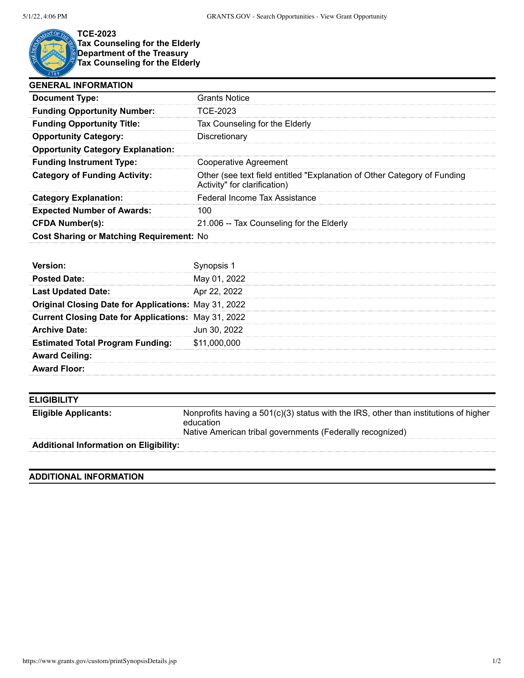

**TCE-2023 Tax Counseling for the Elderly Department of the Treasury Tax Counseling for the Elderly**

| <b>GENERAL INFORMATION</b>               |                                                                                                          |
|------------------------------------------|----------------------------------------------------------------------------------------------------------|
| <b>Document Type:</b>                    | <b>Grants Notice</b>                                                                                     |
| <b>Funding Opportunity Number:</b>       | TCE-2023                                                                                                 |
| <b>Funding Opportunity Title:</b>        | Tax Counseling for the Elderly                                                                           |
| <b>Opportunity Category:</b>             | Discretionary                                                                                            |
| <b>Opportunity Category Explanation:</b> |                                                                                                          |
| <b>Funding Instrument Type:</b>          | Cooperative Agreement                                                                                    |
| <b>Category of Funding Activity:</b>     | Other (see text field entitled "Explanation of Other Category of Funding<br>Activity" for clarification) |
| <b>Category Explanation:</b>             | Federal Income Tax Assistance                                                                            |
| <b>Expected Number of Awards:</b>        | 100                                                                                                      |
| <b>CFDA Number(s):</b>                   | 21.006 -- Tax Counseling for the Elderly                                                                 |
| Cost Sharing or Matching Requirement: No |                                                                                                          |

| <b>Posted Date:</b>                                         | May 01, 2022 |
|-------------------------------------------------------------|--------------|
| <b>Last Updated Date:</b>                                   | Apr 22, 2022 |
| <b>Original Closing Date for Applications: May 31, 2022</b> |              |
| <b>Current Closing Date for Applications: May 31, 2022</b>  |              |
| <b>Archive Date:</b>                                        | Jun 30, 2022 |
| <b>Estimated Total Program Funding:</b>                     | \$11,000,000 |
| <b>Award Ceiling:</b>                                       |              |
| <b>Award Floor:</b>                                         |              |

| <b>ELIGIBILITY</b>                            |                                                                                                                                                                  |
|-----------------------------------------------|------------------------------------------------------------------------------------------------------------------------------------------------------------------|
| <b>Eligible Applicants:</b>                   | Nonprofits having a $501(c)(3)$ status with the IRS, other than institutions of higher<br>education<br>Native American tribal governments (Federally recognized) |
| <b>Additional Information on Eligibility:</b> |                                                                                                                                                                  |

## **ADDITIONAL INFORMATION**